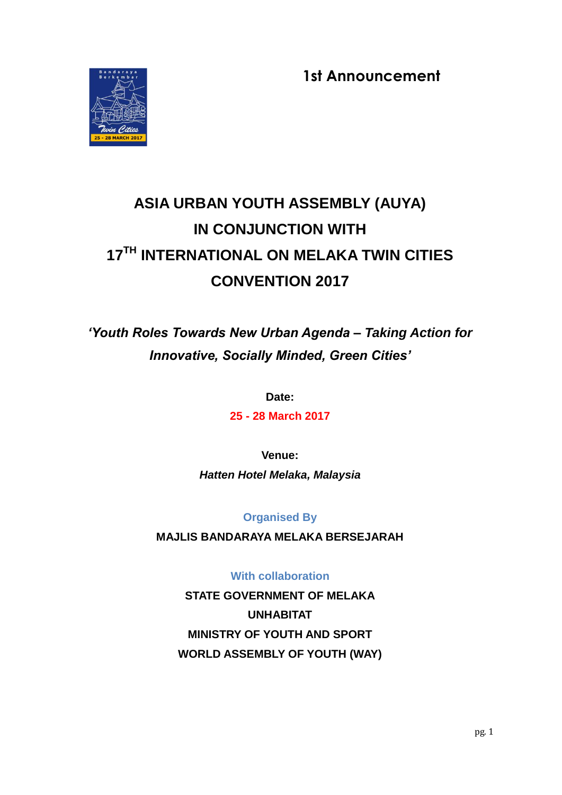**1st Announcement**



# **ASIA URBAN YOUTH ASSEMBLY (AUYA) IN CONJUNCTION WITH 17TH INTERNATIONAL ON MELAKA TWIN CITIES CONVENTION 2017**

# *"Youth Roles Towards New Urban Agenda – Taking Action for Innovative, Socially Minded, Green Cities"*

**Date:**

**25 - 28 March 2017**

**Venue:** *Hatten Hotel Melaka, Malaysia*

# **Organised By**

**MAJLIS BANDARAYA MELAKA BERSEJARAH**

# **With collaboration**

**STATE GOVERNMENT OF MELAKA UNHABITAT MINISTRY OF YOUTH AND SPORT WORLD ASSEMBLY OF YOUTH (WAY)**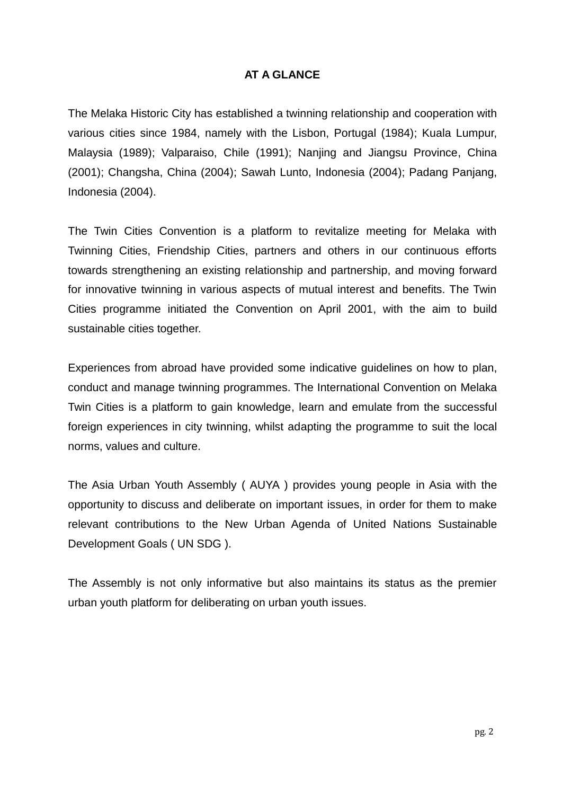### **AT A GLANCE**

The Melaka Historic City has established a twinning relationship and cooperation with various cities since 1984, namely with the Lisbon, Portugal (1984); Kuala Lumpur, Malaysia (1989); Valparaiso, Chile (1991); Nanjing and Jiangsu Province, China (2001); Changsha, China (2004); Sawah Lunto, Indonesia (2004); Padang Panjang, Indonesia (2004).

The Twin Cities Convention is a platform to revitalize meeting for Melaka with Twinning Cities, Friendship Cities, partners and others in our continuous efforts towards strengthening an existing relationship and partnership, and moving forward for innovative twinning in various aspects of mutual interest and benefits. The Twin Cities programme initiated the Convention on April 2001, with the aim to build sustainable cities together.

Experiences from abroad have provided some indicative guidelines on how to plan, conduct and manage twinning programmes. The International Convention on Melaka Twin Cities is a platform to gain knowledge, learn and emulate from the successful foreign experiences in city twinning, whilst adapting the programme to suit the local norms, values and culture.

The Asia Urban Youth Assembly ( AUYA ) provides young people in Asia with the opportunity to discuss and deliberate on important issues, in order for them to make relevant contributions to the New Urban Agenda of United Nations Sustainable Development Goals ( UN SDG ).

The Assembly is not only informative but also maintains its status as the premier urban youth platform for deliberating on urban youth issues.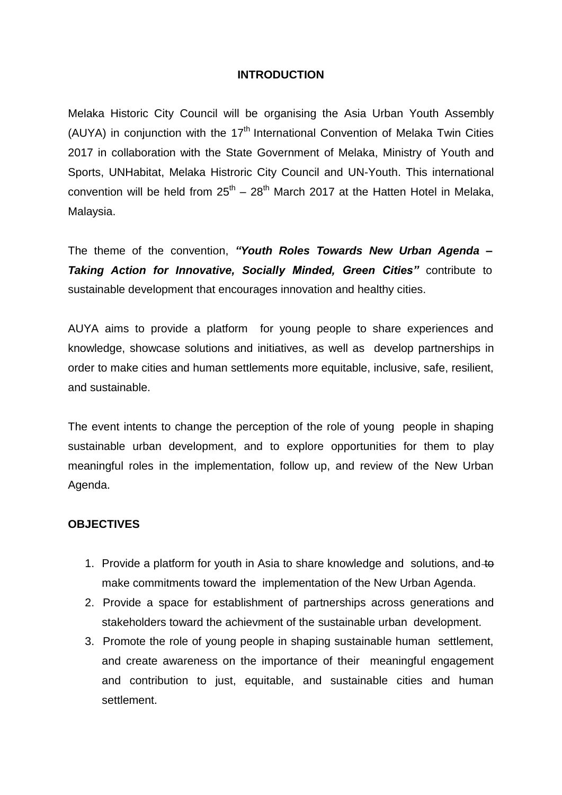#### **INTRODUCTION**

Melaka Historic City Council will be organising the Asia Urban Youth Assembly (AUYA) in conjunction with the  $17<sup>th</sup>$  International Convention of Melaka Twin Cities 2017 in collaboration with the State Government of Melaka, Ministry of Youth and Sports, UNHabitat, Melaka Histroric City Council and UN-Youth. This international convention will be held from  $25^{th} - 28^{th}$  March 2017 at the Hatten Hotel in Melaka, Malaysia.

The theme of the convention, *"Youth Roles Towards New Urban Agenda – Taking Action for Innovative, Socially Minded, Green Cities"* contribute to sustainable development that encourages innovation and healthy cities.

AUYA aims to provide a platform for young people to share experiences and knowledge, showcase solutions and initiatives, as well as develop partnerships in order to make cities and human settlements more equitable, inclusive, safe, resilient, and sustainable.

The event intents to change the perception of the role of young people in shaping sustainable urban development, and to explore opportunities for them to play meaningful roles in the implementation, follow up, and review of the New Urban Agenda.

#### **OBJECTIVES**

- 1. Provide a platform for youth in Asia to share knowledge and solutions, and to make commitments toward the implementation of the New Urban Agenda.
- 2. Provide a space for establishment of partnerships across generations and stakeholders toward the achievment of the sustainable urban development.
- 3. Promote the role of young people in shaping sustainable human settlement, and create awareness on the importance of their meaningful engagement and contribution to just, equitable, and sustainable cities and human settlement.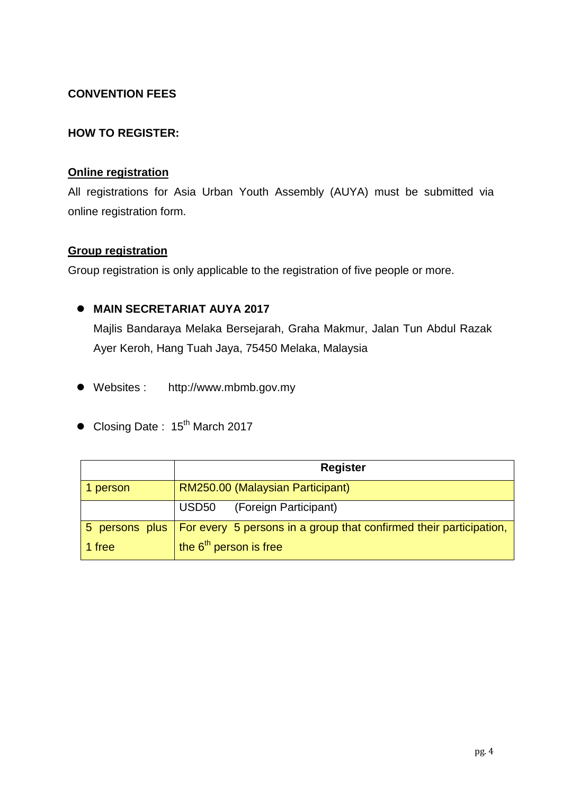# **CONVENTION FEES**

### **HOW TO REGISTER:**

#### **Online registration**

All registrations for Asia Urban Youth Assembly (AUYA) must be submitted via online registration form.

#### **Group registration**

Group registration is only applicable to the registration of five people or more.

# **MAIN SECRETARIAT AUYA 2017**

Majlis Bandaraya Melaka Bersejarah, Graha Makmur, Jalan Tun Abdul Razak Ayer Keroh, Hang Tuah Jaya, 75450 Melaka, Malaysia

- Websites : [http://www.mbmb.gov.my](http://www.mbmb.gov.my/)
- $\bullet$  Closing Date : 15<sup>th</sup> March 2017

|          | <b>Register</b>                                                                     |
|----------|-------------------------------------------------------------------------------------|
| 1 person | RM250.00 (Malaysian Participant)                                                    |
|          | (Foreign Participant)<br>USD50                                                      |
|          | 5 persons plus   For every 5 persons in a group that confirmed their participation, |
| 1 free   | the $6th$ person is free                                                            |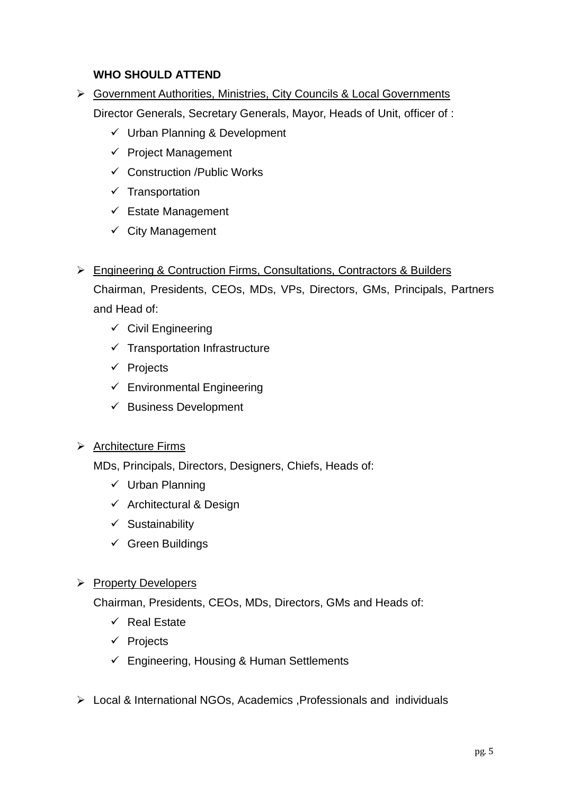# **WHO SHOULD ATTEND**

- Government Authorities, Ministries, City Councils & Local Governments Director Generals, Secretary Generals, Mayor, Heads of Unit, officer of :
	- $\checkmark$  Urban Planning & Development
	- $\checkmark$  Project Management
	- Construction /Public Works
	- $\checkmark$  Transportation
	- $\checkmark$  Estate Management
	- $\checkmark$  City Management
- Engineering & Contruction Firms, Consultations, Contractors & Builders

Chairman, Presidents, CEOs, MDs, VPs, Directors, GMs, Principals, Partners and Head of:

- $\checkmark$  Civil Engineering
- $\checkmark$  Transportation Infrastructure
- $\checkmark$  Projects
- $\checkmark$  Environmental Engineering
- $\checkmark$  Business Development

# ▶ Architecture Firms

MDs, Principals, Directors, Designers, Chiefs, Heads of:

- $\checkmark$  Urban Planning
- $\checkmark$  Architectural & Design
- $\checkmark$  Sustainability
- $\checkmark$  Green Buildings

#### $\triangleright$  Property Developers

Chairman, Presidents, CEOs, MDs, Directors, GMs and Heads of:

- $\checkmark$  Real Estate
- $\checkmark$  Projects
- $\checkmark$  Engineering, Housing & Human Settlements
- Local & International NGOs, Academics ,Professionals and individuals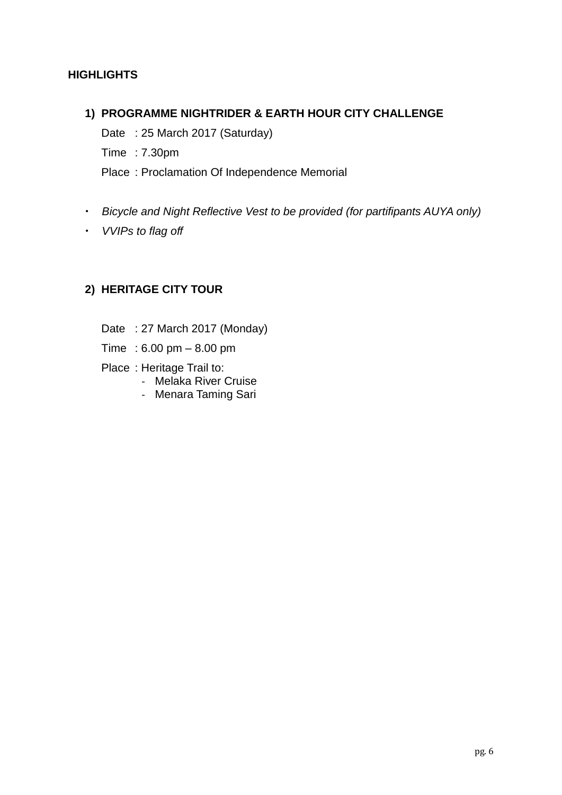# **HIGHLIGHTS**

#### **1) PROGRAMME NIGHTRIDER & EARTH HOUR CITY CHALLENGE**

Date : 25 March 2017 (Saturday) Time : 7.30pm Place : Proclamation Of Independence Memorial

- *Bicycle and Night Reflective Vest to be provided (for partifipants AUYA only)*
- *VVIPs to flag off*

# **2) HERITAGE CITY TOUR**

- Date : 27 March 2017 (Monday)
- Time : 6.00 pm 8.00 pm
- Place : Heritage Trail to:
	- Melaka River Cruise
	- Menara Taming Sari